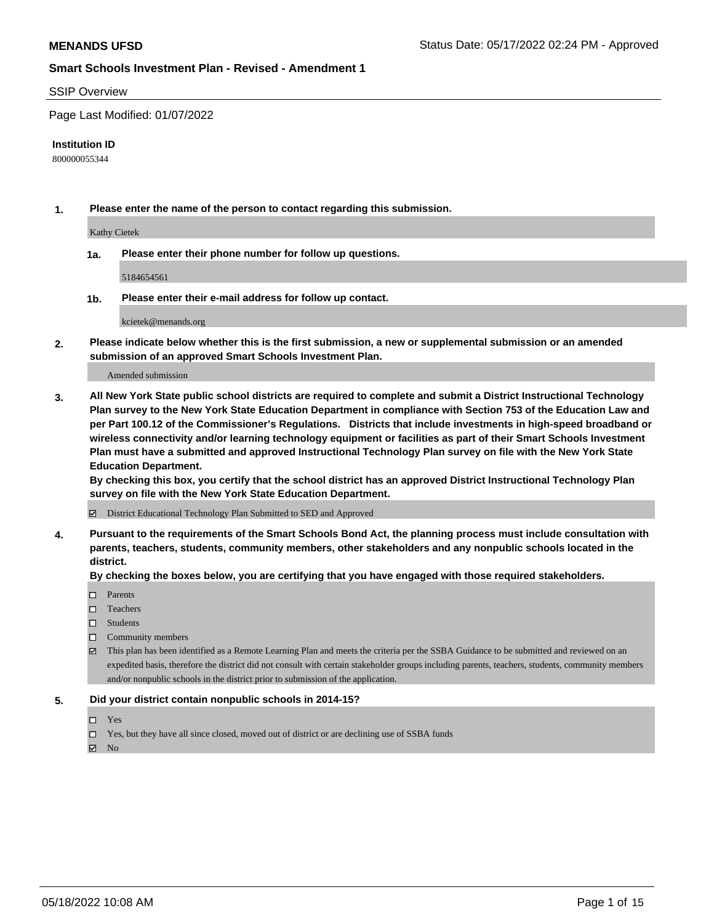#### SSIP Overview

Page Last Modified: 01/07/2022

#### **Institution ID**

800000055344

**1. Please enter the name of the person to contact regarding this submission.**

Kathy Cietek

**1a. Please enter their phone number for follow up questions.**

5184654561

**1b. Please enter their e-mail address for follow up contact.**

kcietek@menands.org

**2. Please indicate below whether this is the first submission, a new or supplemental submission or an amended submission of an approved Smart Schools Investment Plan.**

Amended submission

**3. All New York State public school districts are required to complete and submit a District Instructional Technology Plan survey to the New York State Education Department in compliance with Section 753 of the Education Law and per Part 100.12 of the Commissioner's Regulations. Districts that include investments in high-speed broadband or wireless connectivity and/or learning technology equipment or facilities as part of their Smart Schools Investment Plan must have a submitted and approved Instructional Technology Plan survey on file with the New York State Education Department.** 

**By checking this box, you certify that the school district has an approved District Instructional Technology Plan survey on file with the New York State Education Department.**

District Educational Technology Plan Submitted to SED and Approved

**4. Pursuant to the requirements of the Smart Schools Bond Act, the planning process must include consultation with parents, teachers, students, community members, other stakeholders and any nonpublic schools located in the district.** 

**By checking the boxes below, you are certifying that you have engaged with those required stakeholders.**

- □ Parents
- $\square$  Teachers
- □ Students
- $\Box$  Community members
- This plan has been identified as a Remote Learning Plan and meets the criteria per the SSBA Guidance to be submitted and reviewed on an expedited basis, therefore the district did not consult with certain stakeholder groups including parents, teachers, students, community members and/or nonpublic schools in the district prior to submission of the application.

#### **5. Did your district contain nonpublic schools in 2014-15?**

- Yes
- $\Box$  Yes, but they have all since closed, moved out of district or are declining use of SSBA funds

 $\boxtimes$  No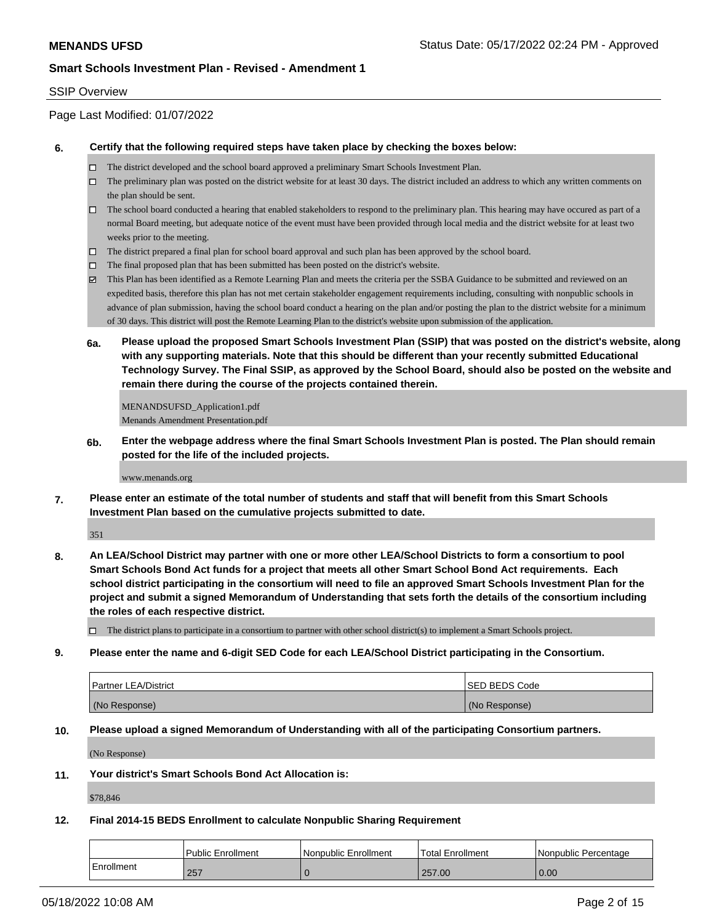### SSIP Overview

Page Last Modified: 01/07/2022

#### **6. Certify that the following required steps have taken place by checking the boxes below:**

- The district developed and the school board approved a preliminary Smart Schools Investment Plan.
- $\Box$  The preliminary plan was posted on the district website for at least 30 days. The district included an address to which any written comments on the plan should be sent.
- $\Box$  The school board conducted a hearing that enabled stakeholders to respond to the preliminary plan. This hearing may have occured as part of a normal Board meeting, but adequate notice of the event must have been provided through local media and the district website for at least two weeks prior to the meeting.
- The district prepared a final plan for school board approval and such plan has been approved by the school board.
- $\Box$  The final proposed plan that has been submitted has been posted on the district's website.
- This Plan has been identified as a Remote Learning Plan and meets the criteria per the SSBA Guidance to be submitted and reviewed on an expedited basis, therefore this plan has not met certain stakeholder engagement requirements including, consulting with nonpublic schools in advance of plan submission, having the school board conduct a hearing on the plan and/or posting the plan to the district website for a minimum of 30 days. This district will post the Remote Learning Plan to the district's website upon submission of the application.
- **6a. Please upload the proposed Smart Schools Investment Plan (SSIP) that was posted on the district's website, along with any supporting materials. Note that this should be different than your recently submitted Educational Technology Survey. The Final SSIP, as approved by the School Board, should also be posted on the website and remain there during the course of the projects contained therein.**

MENANDSUFSD\_Application1.pdf Menands Amendment Presentation.pdf

**6b. Enter the webpage address where the final Smart Schools Investment Plan is posted. The Plan should remain posted for the life of the included projects.**

www.menands.org

**7. Please enter an estimate of the total number of students and staff that will benefit from this Smart Schools Investment Plan based on the cumulative projects submitted to date.**

351

**8. An LEA/School District may partner with one or more other LEA/School Districts to form a consortium to pool Smart Schools Bond Act funds for a project that meets all other Smart School Bond Act requirements. Each school district participating in the consortium will need to file an approved Smart Schools Investment Plan for the project and submit a signed Memorandum of Understanding that sets forth the details of the consortium including the roles of each respective district.**

 $\Box$  The district plans to participate in a consortium to partner with other school district(s) to implement a Smart Schools project.

#### **9. Please enter the name and 6-digit SED Code for each LEA/School District participating in the Consortium.**

| <b>Partner LEA/District</b> | <b>ISED BEDS Code</b> |
|-----------------------------|-----------------------|
| (No Response)               | (No Response)         |

### **10. Please upload a signed Memorandum of Understanding with all of the participating Consortium partners.**

(No Response)

**11. Your district's Smart Schools Bond Act Allocation is:**

\$78,846

## **12. Final 2014-15 BEDS Enrollment to calculate Nonpublic Sharing Requirement**

|            | Public Enrollment | l Nonpublic Enrollment | Total Enrollment | l Nonpublic Percentage |
|------------|-------------------|------------------------|------------------|------------------------|
| Enrollment | 257               |                        | 257.00           | 0.00                   |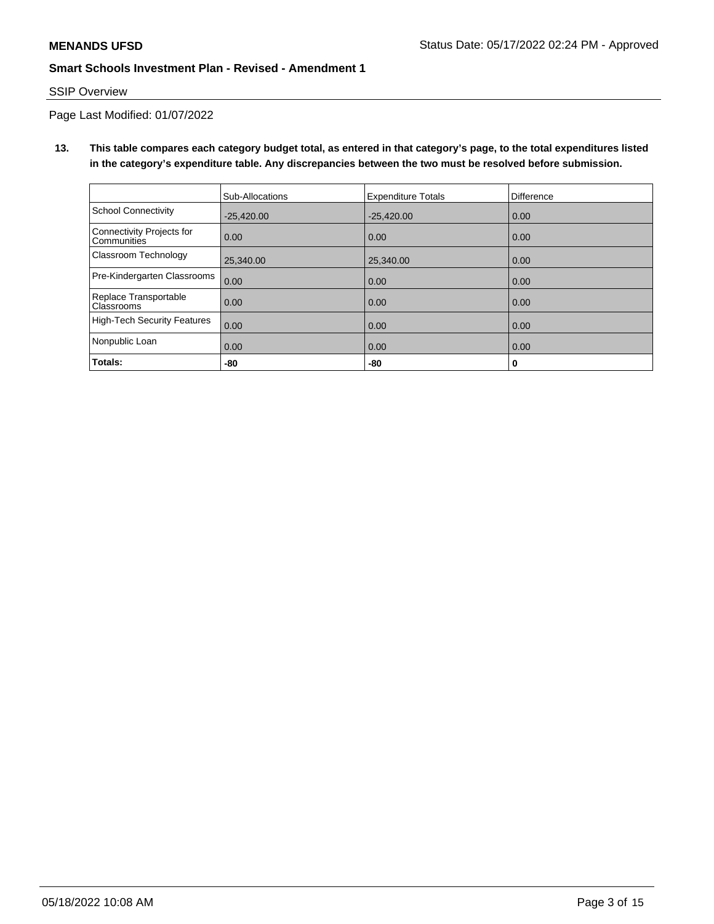## SSIP Overview

Page Last Modified: 01/07/2022

**13. This table compares each category budget total, as entered in that category's page, to the total expenditures listed in the category's expenditure table. Any discrepancies between the two must be resolved before submission.**

|                                                 | Sub-Allocations | <b>Expenditure Totals</b> | Difference |
|-------------------------------------------------|-----------------|---------------------------|------------|
| School Connectivity                             | $-25,420.00$    | $-25,420.00$              | 0.00       |
| Connectivity Projects for<br><b>Communities</b> | 0.00            | 0.00                      | 0.00       |
| <b>Classroom Technology</b>                     | 25.340.00       | 25,340.00                 | 0.00       |
| Pre-Kindergarten Classrooms                     | 0.00            | 0.00                      | 0.00       |
| Replace Transportable<br>Classrooms             | 0.00            | 0.00                      | 0.00       |
| High-Tech Security Features                     | 0.00            | 0.00                      | 0.00       |
| Nonpublic Loan                                  | 0.00            | 0.00                      | 0.00       |
| Totals:                                         | -80             | -80                       | 0          |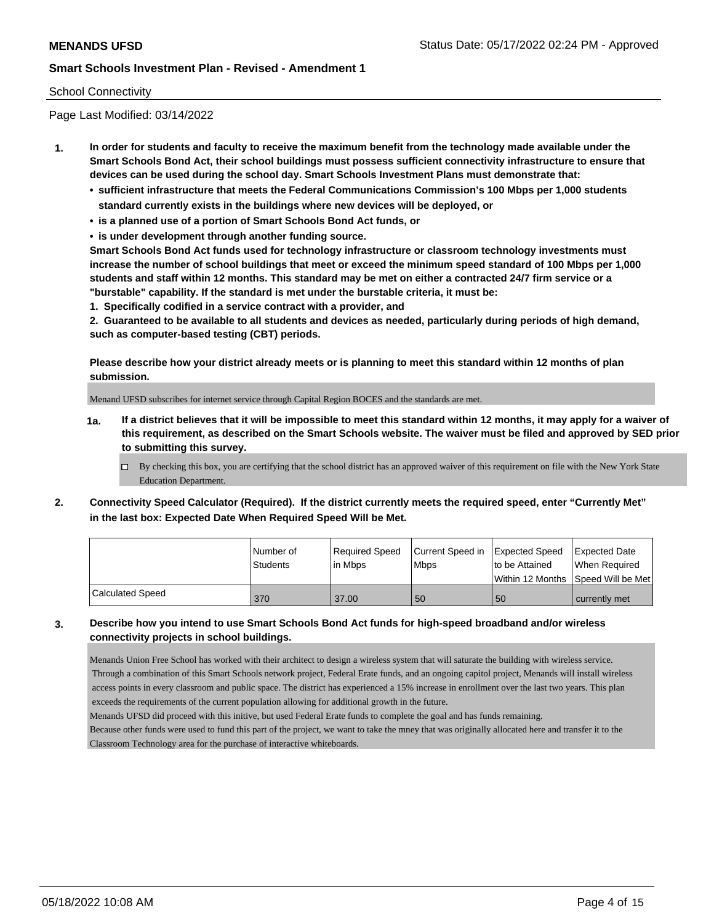## School Connectivity

Page Last Modified: 03/14/2022

- **1. In order for students and faculty to receive the maximum benefit from the technology made available under the Smart Schools Bond Act, their school buildings must possess sufficient connectivity infrastructure to ensure that devices can be used during the school day. Smart Schools Investment Plans must demonstrate that:**
	- **• sufficient infrastructure that meets the Federal Communications Commission's 100 Mbps per 1,000 students standard currently exists in the buildings where new devices will be deployed, or**
	- **• is a planned use of a portion of Smart Schools Bond Act funds, or**
	- **• is under development through another funding source.**

**Smart Schools Bond Act funds used for technology infrastructure or classroom technology investments must increase the number of school buildings that meet or exceed the minimum speed standard of 100 Mbps per 1,000 students and staff within 12 months. This standard may be met on either a contracted 24/7 firm service or a "burstable" capability. If the standard is met under the burstable criteria, it must be:**

**1. Specifically codified in a service contract with a provider, and**

**2. Guaranteed to be available to all students and devices as needed, particularly during periods of high demand, such as computer-based testing (CBT) periods.**

**Please describe how your district already meets or is planning to meet this standard within 12 months of plan submission.**

Menand UFSD subscribes for internet service through Capital Region BOCES and the standards are met.

- **1a. If a district believes that it will be impossible to meet this standard within 12 months, it may apply for a waiver of this requirement, as described on the Smart Schools website. The waiver must be filed and approved by SED prior to submitting this survey.**
	- By checking this box, you are certifying that the school district has an approved waiver of this requirement on file with the New York State Education Department.
- **2. Connectivity Speed Calculator (Required). If the district currently meets the required speed, enter "Currently Met" in the last box: Expected Date When Required Speed Will be Met.**

|                  | l Number of     | Required Speed | Current Speed in Expected Speed |                                    | <b>Expected Date</b> |
|------------------|-----------------|----------------|---------------------------------|------------------------------------|----------------------|
|                  | <b>Students</b> | in Mbps        | <b>Mbps</b>                     | to be Attained                     | l When Reauired      |
|                  |                 |                |                                 | Within 12 Months Speed Will be Met |                      |
| Calculated Speed | 370             | 37.00          | 50                              | 50                                 | currently met        |

## **3. Describe how you intend to use Smart Schools Bond Act funds for high-speed broadband and/or wireless connectivity projects in school buildings.**

Menands Union Free School has worked with their architect to design a wireless system that will saturate the building with wireless service. Through a combination of this Smart Schools network project, Federal Erate funds, and an ongoing capitol project, Menands will install wireless access points in every classroom and public space. The district has experienced a 15% increase in enrollment over the last two years. This plan exceeds the requirements of the current population allowing for additional growth in the future.

Menands UFSD did proceed with this initive, but used Federal Erate funds to complete the goal and has funds remaining.

Because other funds were used to fund this part of the project, we want to take the mney that was originally allocated here and transfer it to the Classroom Technology area for the purchase of interactive whiteboards.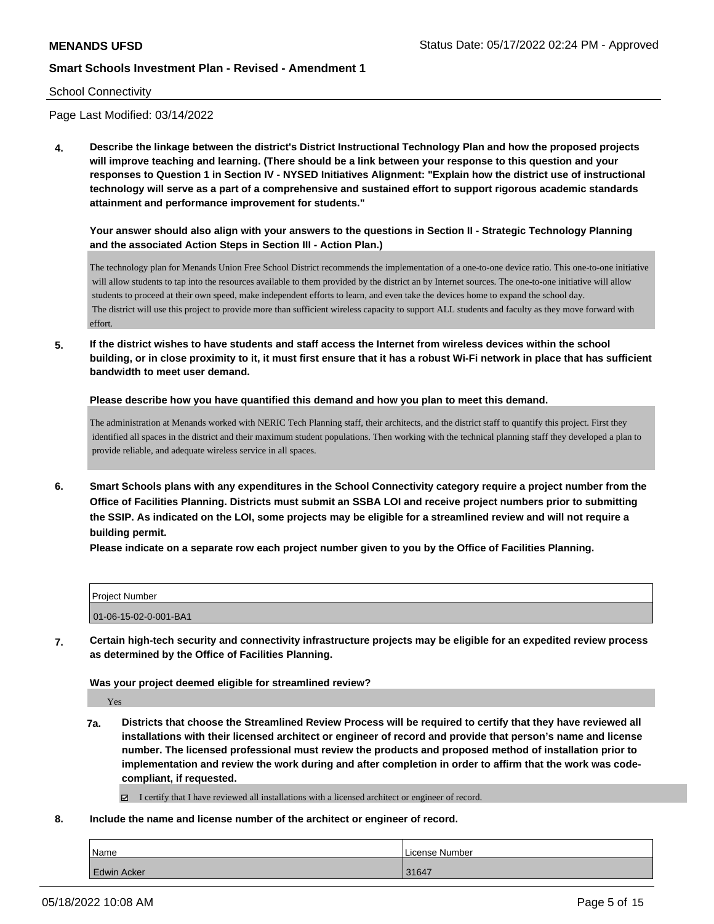### School Connectivity

Page Last Modified: 03/14/2022

**4. Describe the linkage between the district's District Instructional Technology Plan and how the proposed projects will improve teaching and learning. (There should be a link between your response to this question and your responses to Question 1 in Section IV - NYSED Initiatives Alignment: "Explain how the district use of instructional technology will serve as a part of a comprehensive and sustained effort to support rigorous academic standards attainment and performance improvement for students."** 

**Your answer should also align with your answers to the questions in Section II - Strategic Technology Planning and the associated Action Steps in Section III - Action Plan.)**

The technology plan for Menands Union Free School District recommends the implementation of a one-to-one device ratio. This one-to-one initiative will allow students to tap into the resources available to them provided by the district an by Internet sources. The one-to-one initiative will allow students to proceed at their own speed, make independent efforts to learn, and even take the devices home to expand the school day. The district will use this project to provide more than sufficient wireless capacity to support ALL students and faculty as they move forward with effort.

**5. If the district wishes to have students and staff access the Internet from wireless devices within the school building, or in close proximity to it, it must first ensure that it has a robust Wi-Fi network in place that has sufficient bandwidth to meet user demand.**

**Please describe how you have quantified this demand and how you plan to meet this demand.**

The administration at Menands worked with NERIC Tech Planning staff, their architects, and the district staff to quantify this project. First they identified all spaces in the district and their maximum student populations. Then working with the technical planning staff they developed a plan to provide reliable, and adequate wireless service in all spaces.

**6. Smart Schools plans with any expenditures in the School Connectivity category require a project number from the Office of Facilities Planning. Districts must submit an SSBA LOI and receive project numbers prior to submitting the SSIP. As indicated on the LOI, some projects may be eligible for a streamlined review and will not require a building permit.**

**Please indicate on a separate row each project number given to you by the Office of Facilities Planning.**

| <b>Project Number</b> |  |
|-----------------------|--|
| 01-06-15-02-0-001-BA1 |  |

**7. Certain high-tech security and connectivity infrastructure projects may be eligible for an expedited review process as determined by the Office of Facilities Planning.**

**Was your project deemed eligible for streamlined review?**

Yes

**7a. Districts that choose the Streamlined Review Process will be required to certify that they have reviewed all installations with their licensed architect or engineer of record and provide that person's name and license number. The licensed professional must review the products and proposed method of installation prior to implementation and review the work during and after completion in order to affirm that the work was codecompliant, if requested.**

I certify that I have reviewed all installations with a licensed architect or engineer of record.

**8. Include the name and license number of the architect or engineer of record.**

| Name               | License Number |
|--------------------|----------------|
| <b>Edwin Acker</b> | 31647          |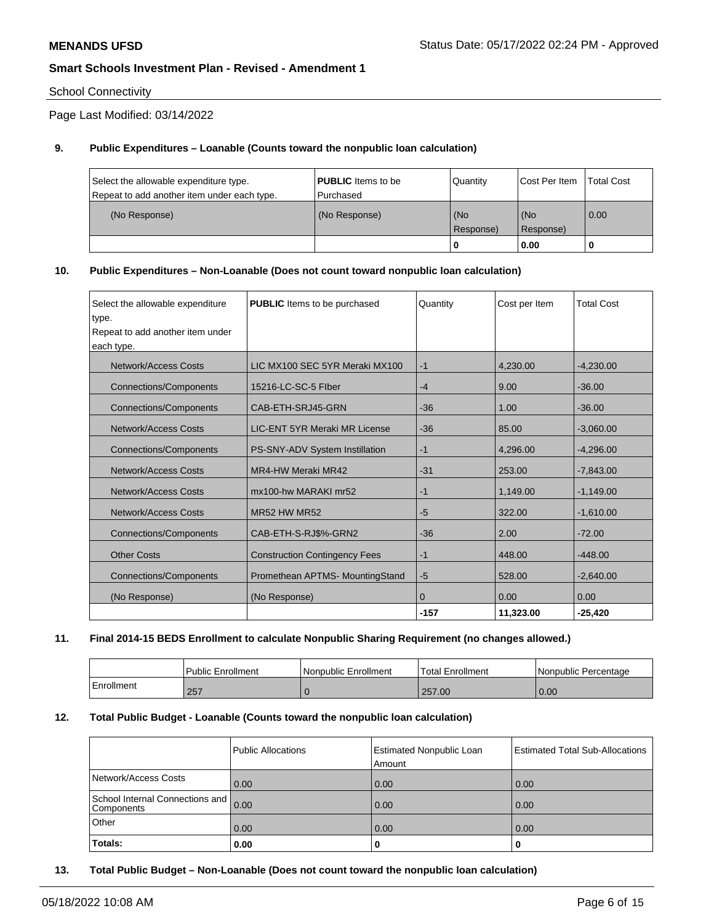## School Connectivity

Page Last Modified: 03/14/2022

## **9. Public Expenditures – Loanable (Counts toward the nonpublic loan calculation)**

| Select the allowable expenditure type.      | <b>PUBLIC</b> Items to be | Quantity         | <b>Cost Per Item</b> | Total Cost |
|---------------------------------------------|---------------------------|------------------|----------------------|------------|
| Repeat to add another item under each type. | l Purchased               |                  |                      |            |
| (No Response)                               | (No Response)             | (No<br>Response) | (No<br>Response)     | 0.00       |
|                                             |                           | -0               | 0.00                 |            |

### **10. Public Expenditures – Non-Loanable (Does not count toward nonpublic loan calculation)**

| Select the allowable expenditure<br>type. | <b>PUBLIC</b> Items to be purchased  | Quantity     | Cost per Item | <b>Total Cost</b> |
|-------------------------------------------|--------------------------------------|--------------|---------------|-------------------|
| Repeat to add another item under          |                                      |              |               |                   |
| each type.                                |                                      |              |               |                   |
| <b>Network/Access Costs</b>               | LIC MX100 SEC 5YR Meraki MX100       | $-1$         | 4.230.00      | $-4,230.00$       |
| <b>Connections/Components</b>             | 15216-LC-SC-5 Flber                  | $-4$         | 9.00          | $-36.00$          |
| <b>Connections/Components</b>             | CAB-ETH-SRJ45-GRN                    | $-36$        | 1.00          | $-36.00$          |
| Network/Access Costs                      | LIC-ENT 5YR Meraki MR License        | $-36$        | 85.00         | $-3,060.00$       |
| <b>Connections/Components</b>             | PS-SNY-ADV System Instillation       | $-1$         | 4,296.00      | $-4,296.00$       |
| <b>Network/Access Costs</b>               | MR4-HW Meraki MR42                   | $-31$        | 253.00        | $-7,843.00$       |
| Network/Access Costs                      | mx100-hw MARAKI mr52                 | $-1$         | 1,149.00      | $-1,149.00$       |
| Network/Access Costs                      | MR52 HW MR52                         | $-5$         | 322.00        | $-1,610.00$       |
| <b>Connections/Components</b>             | CAB-ETH-S-RJ\$%-GRN2                 | $-36$        | 2.00          | $-72.00$          |
| <b>Other Costs</b>                        | <b>Construction Contingency Fees</b> | $-1$         | 448.00        | $-448.00$         |
| <b>Connections/Components</b>             | Promethean APTMS- MountingStand      | $-5$         | 528.00        | $-2,640.00$       |
| (No Response)                             | (No Response)                        | $\mathbf{0}$ | 0.00          | 0.00              |
|                                           |                                      | $-157$       | 11,323.00     | $-25,420$         |

## **11. Final 2014-15 BEDS Enrollment to calculate Nonpublic Sharing Requirement (no changes allowed.)**

|            | Public Enrollment | Nonpublic Enrollment | Total Enrollment | l Nonpublic Percentage |
|------------|-------------------|----------------------|------------------|------------------------|
| Enrollment | 257               |                      | 257.00           | 0.00                   |

## **12. Total Public Budget - Loanable (Counts toward the nonpublic loan calculation)**

|                                               | Public Allocations | <b>Estimated Nonpublic Loan</b><br>Amount | <b>Estimated Total Sub-Allocations</b> |
|-----------------------------------------------|--------------------|-------------------------------------------|----------------------------------------|
| Network/Access Costs                          | 0.00               | 0.00                                      | 0.00                                   |
| School Internal Connections and<br>Components | 0.00               | 0.00                                      | 0.00                                   |
| Other                                         | 0.00               | 0.00                                      | 0.00                                   |
| Totals:                                       | 0.00               | u                                         | 0                                      |

**13. Total Public Budget – Non-Loanable (Does not count toward the nonpublic loan calculation)**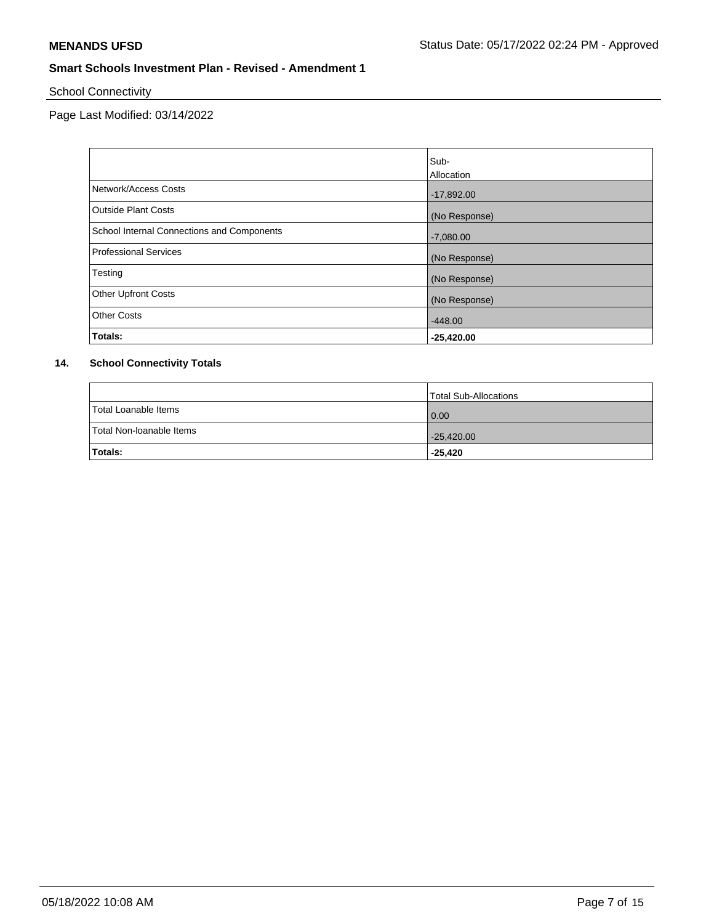School Connectivity

Page Last Modified: 03/14/2022

|                                            | Sub-          |
|--------------------------------------------|---------------|
|                                            | Allocation    |
| Network/Access Costs                       | $-17,892.00$  |
| Outside Plant Costs                        | (No Response) |
| School Internal Connections and Components | $-7,080.00$   |
| Professional Services                      | (No Response) |
| Testing                                    | (No Response) |
| <b>Other Upfront Costs</b>                 | (No Response) |
| <b>Other Costs</b>                         | $-448.00$     |
| Totals:                                    | $-25,420.00$  |

# **14. School Connectivity Totals**

|                          | Total Sub-Allocations |
|--------------------------|-----------------------|
| Total Loanable Items     | 0.00                  |
| Total Non-Ioanable Items | $-25,420.00$          |
| Totals:                  | $-25,420$             |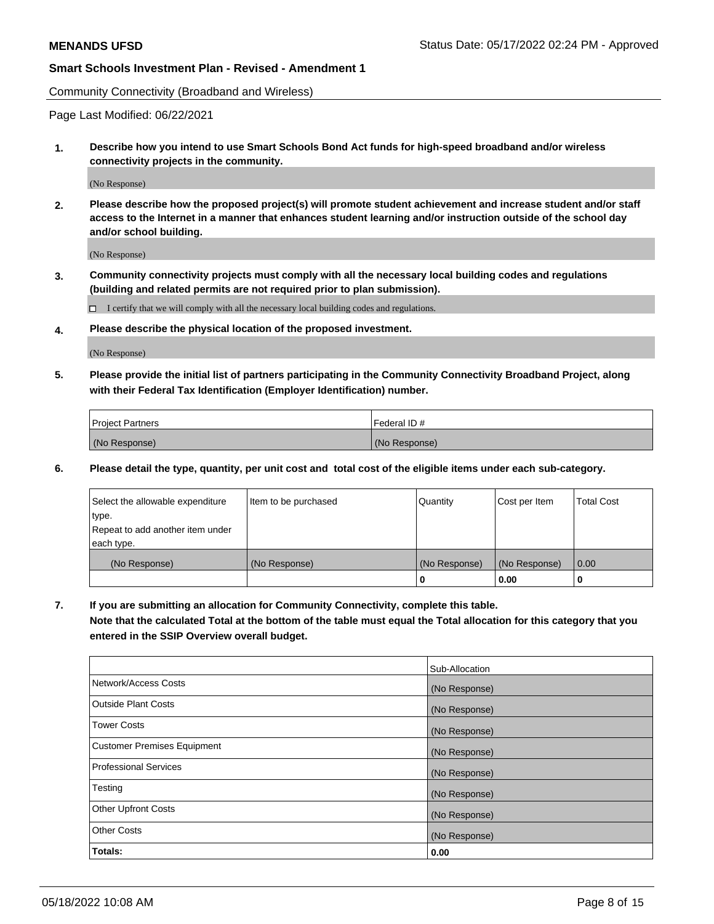Community Connectivity (Broadband and Wireless)

Page Last Modified: 06/22/2021

**1. Describe how you intend to use Smart Schools Bond Act funds for high-speed broadband and/or wireless connectivity projects in the community.**

(No Response)

**2. Please describe how the proposed project(s) will promote student achievement and increase student and/or staff access to the Internet in a manner that enhances student learning and/or instruction outside of the school day and/or school building.**

(No Response)

**3. Community connectivity projects must comply with all the necessary local building codes and regulations (building and related permits are not required prior to plan submission).**

 $\Box$  I certify that we will comply with all the necessary local building codes and regulations.

**4. Please describe the physical location of the proposed investment.**

(No Response)

**5. Please provide the initial list of partners participating in the Community Connectivity Broadband Project, along with their Federal Tax Identification (Employer Identification) number.**

| <b>Project Partners</b> | l Federal ID # |
|-------------------------|----------------|
| (No Response)           | (No Response)  |

**6. Please detail the type, quantity, per unit cost and total cost of the eligible items under each sub-category.**

| Select the allowable expenditure          | Item to be purchased | Quantity      | Cost per Item | <b>Total Cost</b> |
|-------------------------------------------|----------------------|---------------|---------------|-------------------|
| type.<br>Repeat to add another item under |                      |               |               |                   |
| each type.                                |                      |               |               |                   |
| (No Response)                             | (No Response)        | (No Response) | (No Response) | 0.00              |
|                                           |                      | 0             | 0.00          |                   |

**7. If you are submitting an allocation for Community Connectivity, complete this table.**

**Note that the calculated Total at the bottom of the table must equal the Total allocation for this category that you entered in the SSIP Overview overall budget.**

|                              | Sub-Allocation |
|------------------------------|----------------|
| Network/Access Costs         | (No Response)  |
| <b>Outside Plant Costs</b>   | (No Response)  |
| Tower Costs                  | (No Response)  |
| Customer Premises Equipment  | (No Response)  |
| <b>Professional Services</b> | (No Response)  |
| Testing                      | (No Response)  |
| <b>Other Upfront Costs</b>   | (No Response)  |
| <b>Other Costs</b>           | (No Response)  |
| Totals:                      | 0.00           |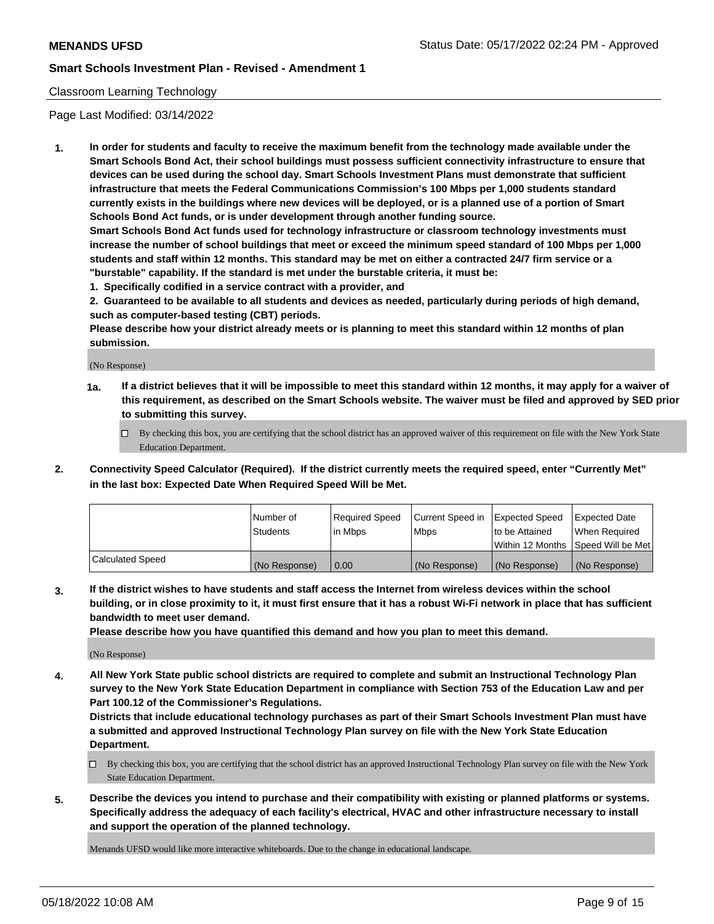## Classroom Learning Technology

Page Last Modified: 03/14/2022

**1. In order for students and faculty to receive the maximum benefit from the technology made available under the Smart Schools Bond Act, their school buildings must possess sufficient connectivity infrastructure to ensure that devices can be used during the school day. Smart Schools Investment Plans must demonstrate that sufficient infrastructure that meets the Federal Communications Commission's 100 Mbps per 1,000 students standard currently exists in the buildings where new devices will be deployed, or is a planned use of a portion of Smart Schools Bond Act funds, or is under development through another funding source.**

**Smart Schools Bond Act funds used for technology infrastructure or classroom technology investments must increase the number of school buildings that meet or exceed the minimum speed standard of 100 Mbps per 1,000 students and staff within 12 months. This standard may be met on either a contracted 24/7 firm service or a "burstable" capability. If the standard is met under the burstable criteria, it must be:**

**1. Specifically codified in a service contract with a provider, and**

**2. Guaranteed to be available to all students and devices as needed, particularly during periods of high demand, such as computer-based testing (CBT) periods.**

**Please describe how your district already meets or is planning to meet this standard within 12 months of plan submission.**

(No Response)

- **1a. If a district believes that it will be impossible to meet this standard within 12 months, it may apply for a waiver of this requirement, as described on the Smart Schools website. The waiver must be filed and approved by SED prior to submitting this survey.**
	- By checking this box, you are certifying that the school district has an approved waiver of this requirement on file with the New York State Education Department.
- **2. Connectivity Speed Calculator (Required). If the district currently meets the required speed, enter "Currently Met" in the last box: Expected Date When Required Speed Will be Met.**

|                  | Number of     | Required Speed | Current Speed in | Expected Speed | Expected Date                           |
|------------------|---------------|----------------|------------------|----------------|-----------------------------------------|
|                  | Students      | lin Mbps       | <b>Mbps</b>      | to be Attained | When Required                           |
|                  |               |                |                  |                | l Within 12 Months ISpeed Will be Met l |
| Calculated Speed | (No Response) | 0.00           | (No Response)    | (No Response)  | (No Response)                           |

**3. If the district wishes to have students and staff access the Internet from wireless devices within the school building, or in close proximity to it, it must first ensure that it has a robust Wi-Fi network in place that has sufficient bandwidth to meet user demand.**

**Please describe how you have quantified this demand and how you plan to meet this demand.**

(No Response)

**4. All New York State public school districts are required to complete and submit an Instructional Technology Plan survey to the New York State Education Department in compliance with Section 753 of the Education Law and per Part 100.12 of the Commissioner's Regulations.**

**Districts that include educational technology purchases as part of their Smart Schools Investment Plan must have a submitted and approved Instructional Technology Plan survey on file with the New York State Education Department.**

- By checking this box, you are certifying that the school district has an approved Instructional Technology Plan survey on file with the New York State Education Department.
- **5. Describe the devices you intend to purchase and their compatibility with existing or planned platforms or systems. Specifically address the adequacy of each facility's electrical, HVAC and other infrastructure necessary to install and support the operation of the planned technology.**

Menands UFSD would like more interactive whiteboards. Due to the change in educational landscape.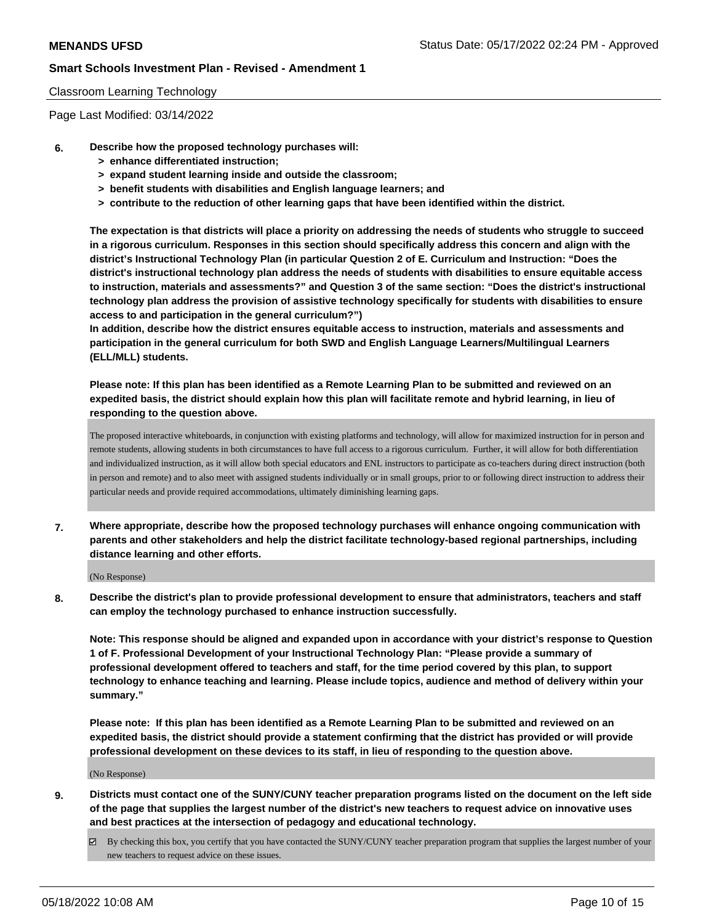### Classroom Learning Technology

Page Last Modified: 03/14/2022

- **6. Describe how the proposed technology purchases will:**
	- **> enhance differentiated instruction;**
	- **> expand student learning inside and outside the classroom;**
	- **> benefit students with disabilities and English language learners; and**
	- **> contribute to the reduction of other learning gaps that have been identified within the district.**

**The expectation is that districts will place a priority on addressing the needs of students who struggle to succeed in a rigorous curriculum. Responses in this section should specifically address this concern and align with the district's Instructional Technology Plan (in particular Question 2 of E. Curriculum and Instruction: "Does the district's instructional technology plan address the needs of students with disabilities to ensure equitable access to instruction, materials and assessments?" and Question 3 of the same section: "Does the district's instructional technology plan address the provision of assistive technology specifically for students with disabilities to ensure access to and participation in the general curriculum?")**

**In addition, describe how the district ensures equitable access to instruction, materials and assessments and participation in the general curriculum for both SWD and English Language Learners/Multilingual Learners (ELL/MLL) students.**

**Please note: If this plan has been identified as a Remote Learning Plan to be submitted and reviewed on an expedited basis, the district should explain how this plan will facilitate remote and hybrid learning, in lieu of responding to the question above.**

The proposed interactive whiteboards, in conjunction with existing platforms and technology, will allow for maximized instruction for in person and remote students, allowing students in both circumstances to have full access to a rigorous curriculum. Further, it will allow for both differentiation and individualized instruction, as it will allow both special educators and ENL instructors to participate as co-teachers during direct instruction (both in person and remote) and to also meet with assigned students individually or in small groups, prior to or following direct instruction to address their particular needs and provide required accommodations, ultimately diminishing learning gaps.

**7. Where appropriate, describe how the proposed technology purchases will enhance ongoing communication with parents and other stakeholders and help the district facilitate technology-based regional partnerships, including distance learning and other efforts.**

(No Response)

**8. Describe the district's plan to provide professional development to ensure that administrators, teachers and staff can employ the technology purchased to enhance instruction successfully.**

**Note: This response should be aligned and expanded upon in accordance with your district's response to Question 1 of F. Professional Development of your Instructional Technology Plan: "Please provide a summary of professional development offered to teachers and staff, for the time period covered by this plan, to support technology to enhance teaching and learning. Please include topics, audience and method of delivery within your summary."**

**Please note: If this plan has been identified as a Remote Learning Plan to be submitted and reviewed on an expedited basis, the district should provide a statement confirming that the district has provided or will provide professional development on these devices to its staff, in lieu of responding to the question above.**

(No Response)

- **9. Districts must contact one of the SUNY/CUNY teacher preparation programs listed on the document on the left side of the page that supplies the largest number of the district's new teachers to request advice on innovative uses and best practices at the intersection of pedagogy and educational technology.**
	- $\boxtimes$  By checking this box, you certify that you have contacted the SUNY/CUNY teacher preparation program that supplies the largest number of your new teachers to request advice on these issues.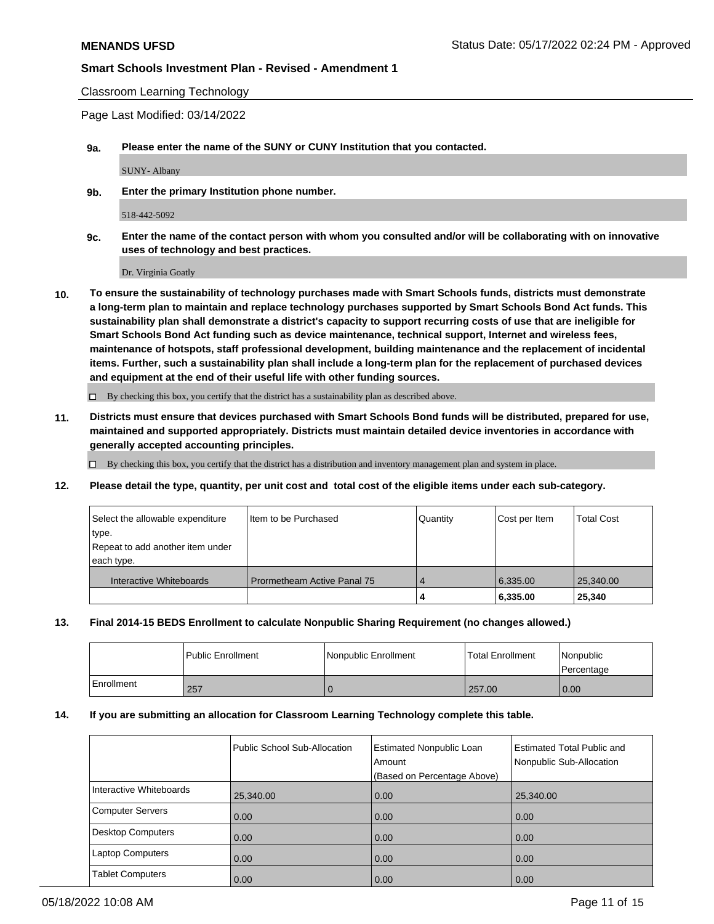Classroom Learning Technology

Page Last Modified: 03/14/2022

**9a. Please enter the name of the SUNY or CUNY Institution that you contacted.**

SUNY- Albany

**9b. Enter the primary Institution phone number.**

### 518-442-5092

**9c. Enter the name of the contact person with whom you consulted and/or will be collaborating with on innovative uses of technology and best practices.**

Dr. Virginia Goatly

**10. To ensure the sustainability of technology purchases made with Smart Schools funds, districts must demonstrate a long-term plan to maintain and replace technology purchases supported by Smart Schools Bond Act funds. This sustainability plan shall demonstrate a district's capacity to support recurring costs of use that are ineligible for Smart Schools Bond Act funding such as device maintenance, technical support, Internet and wireless fees, maintenance of hotspots, staff professional development, building maintenance and the replacement of incidental items. Further, such a sustainability plan shall include a long-term plan for the replacement of purchased devices and equipment at the end of their useful life with other funding sources.**

 $\square$  By checking this box, you certify that the district has a sustainability plan as described above.

**11. Districts must ensure that devices purchased with Smart Schools Bond funds will be distributed, prepared for use, maintained and supported appropriately. Districts must maintain detailed device inventories in accordance with generally accepted accounting principles.**

 $\Box$  By checking this box, you certify that the district has a distribution and inventory management plan and system in place.

**12. Please detail the type, quantity, per unit cost and total cost of the eligible items under each sub-category.**

| Select the allowable expenditure | Item to be Purchased        | Quantity | Cost per Item | <b>Total Cost</b> |
|----------------------------------|-----------------------------|----------|---------------|-------------------|
| type.                            |                             |          |               |                   |
| Repeat to add another item under |                             |          |               |                   |
| each type.                       |                             |          |               |                   |
| Interactive Whiteboards          | Prormetheam Active Panal 75 |          | 6,335.00      | 25,340.00         |
|                                  |                             | 4        | 6,335.00      | 25,340            |

## **13. Final 2014-15 BEDS Enrollment to calculate Nonpublic Sharing Requirement (no changes allowed.)**

|            | Public Enrollment | Nonpublic Enrollment | Total Enrollment | <i>Nonpublic</i><br><b>Percentage</b> |
|------------|-------------------|----------------------|------------------|---------------------------------------|
| Enrollment | 257               |                      | 257.00           | 0.00                                  |

### **14. If you are submitting an allocation for Classroom Learning Technology complete this table.**

|                         | Public School Sub-Allocation | <b>Estimated Nonpublic Loan</b><br>Amount<br>(Based on Percentage Above) | <b>Estimated Total Public and</b><br>Nonpublic Sub-Allocation |
|-------------------------|------------------------------|--------------------------------------------------------------------------|---------------------------------------------------------------|
| Interactive Whiteboards | 25,340.00                    | 0.00                                                                     | 25,340.00                                                     |
| Computer Servers        | 0.00                         | 0.00                                                                     | 0.00                                                          |
| Desktop Computers       | 0.00                         | 0.00                                                                     | 0.00                                                          |
| <b>Laptop Computers</b> | 0.00                         | 0.00                                                                     | 0.00                                                          |
| <b>Tablet Computers</b> | 0.00                         | 0.00                                                                     | 0.00                                                          |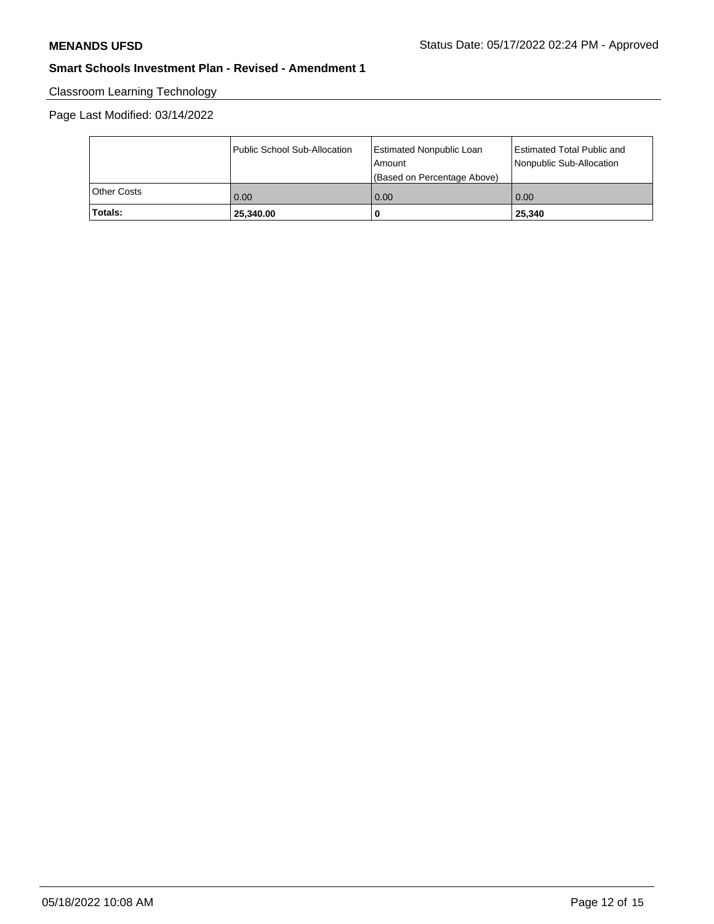# Classroom Learning Technology

# Page Last Modified: 03/14/2022

|                    | Public School Sub-Allocation | Estimated Nonpublic Loan<br>l Amount | Estimated Total Public and<br>Nonpublic Sub-Allocation |
|--------------------|------------------------------|--------------------------------------|--------------------------------------------------------|
|                    |                              | (Based on Percentage Above)          |                                                        |
| <b>Other Costs</b> | 0.00                         | 0.00                                 | 0.00                                                   |
| Totals:            | 25,340.00                    |                                      | 25,340                                                 |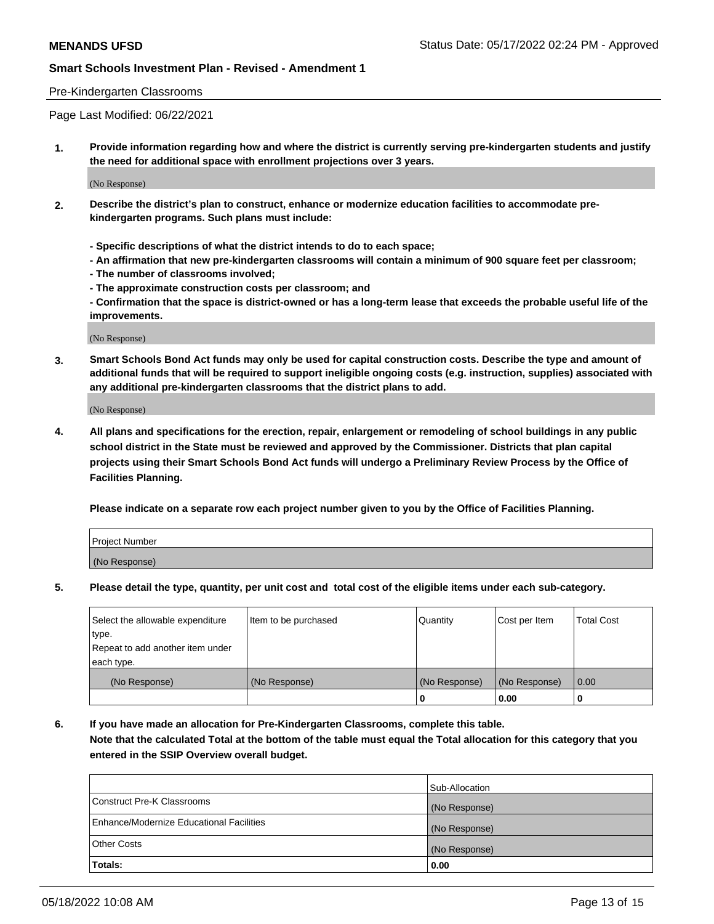### Pre-Kindergarten Classrooms

Page Last Modified: 06/22/2021

**1. Provide information regarding how and where the district is currently serving pre-kindergarten students and justify the need for additional space with enrollment projections over 3 years.**

(No Response)

- **2. Describe the district's plan to construct, enhance or modernize education facilities to accommodate prekindergarten programs. Such plans must include:**
	- **Specific descriptions of what the district intends to do to each space;**
	- **An affirmation that new pre-kindergarten classrooms will contain a minimum of 900 square feet per classroom;**
	- **The number of classrooms involved;**
	- **The approximate construction costs per classroom; and**
	- **Confirmation that the space is district-owned or has a long-term lease that exceeds the probable useful life of the improvements.**

(No Response)

**3. Smart Schools Bond Act funds may only be used for capital construction costs. Describe the type and amount of additional funds that will be required to support ineligible ongoing costs (e.g. instruction, supplies) associated with any additional pre-kindergarten classrooms that the district plans to add.**

(No Response)

**4. All plans and specifications for the erection, repair, enlargement or remodeling of school buildings in any public school district in the State must be reviewed and approved by the Commissioner. Districts that plan capital projects using their Smart Schools Bond Act funds will undergo a Preliminary Review Process by the Office of Facilities Planning.**

**Please indicate on a separate row each project number given to you by the Office of Facilities Planning.**

| Project Number |  |
|----------------|--|
| (No Response)  |  |

**5. Please detail the type, quantity, per unit cost and total cost of the eligible items under each sub-category.**

| Select the allowable expenditure | Item to be purchased | Quantity      | Cost per Item | <b>Total Cost</b> |
|----------------------------------|----------------------|---------------|---------------|-------------------|
| type.                            |                      |               |               |                   |
| Repeat to add another item under |                      |               |               |                   |
| each type.                       |                      |               |               |                   |
| (No Response)                    | (No Response)        | (No Response) | (No Response) | 0.00              |
|                                  |                      | 0             | 0.00          |                   |

**6. If you have made an allocation for Pre-Kindergarten Classrooms, complete this table.**

**Note that the calculated Total at the bottom of the table must equal the Total allocation for this category that you entered in the SSIP Overview overall budget.**

|                                          | Sub-Allocation |
|------------------------------------------|----------------|
| Construct Pre-K Classrooms               | (No Response)  |
| Enhance/Modernize Educational Facilities | (No Response)  |
| <b>Other Costs</b>                       | (No Response)  |
| Totals:                                  | 0.00           |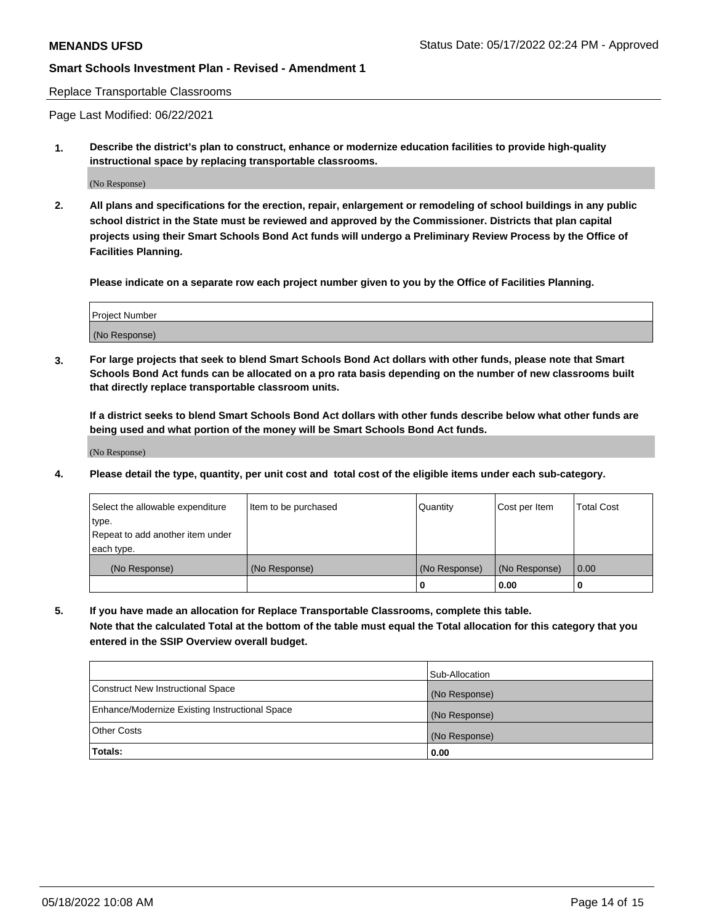### Replace Transportable Classrooms

Page Last Modified: 06/22/2021

**1. Describe the district's plan to construct, enhance or modernize education facilities to provide high-quality instructional space by replacing transportable classrooms.**

(No Response)

**2. All plans and specifications for the erection, repair, enlargement or remodeling of school buildings in any public school district in the State must be reviewed and approved by the Commissioner. Districts that plan capital projects using their Smart Schools Bond Act funds will undergo a Preliminary Review Process by the Office of Facilities Planning.**

**Please indicate on a separate row each project number given to you by the Office of Facilities Planning.**

| Project Number |  |
|----------------|--|
| (No Response)  |  |

**3. For large projects that seek to blend Smart Schools Bond Act dollars with other funds, please note that Smart Schools Bond Act funds can be allocated on a pro rata basis depending on the number of new classrooms built that directly replace transportable classroom units.**

**If a district seeks to blend Smart Schools Bond Act dollars with other funds describe below what other funds are being used and what portion of the money will be Smart Schools Bond Act funds.**

(No Response)

**4. Please detail the type, quantity, per unit cost and total cost of the eligible items under each sub-category.**

| Select the allowable expenditure | Item to be purchased | Quantity      | Cost per Item | <b>Total Cost</b> |
|----------------------------------|----------------------|---------------|---------------|-------------------|
| type.                            |                      |               |               |                   |
| Repeat to add another item under |                      |               |               |                   |
| each type.                       |                      |               |               |                   |
| (No Response)                    | (No Response)        | (No Response) | (No Response) | 0.00              |
|                                  |                      | U             | 0.00          |                   |

**5. If you have made an allocation for Replace Transportable Classrooms, complete this table.**

**Note that the calculated Total at the bottom of the table must equal the Total allocation for this category that you entered in the SSIP Overview overall budget.**

|                                                | Sub-Allocation |
|------------------------------------------------|----------------|
| Construct New Instructional Space              | (No Response)  |
| Enhance/Modernize Existing Instructional Space | (No Response)  |
| <b>Other Costs</b>                             | (No Response)  |
| Totals:                                        | 0.00           |